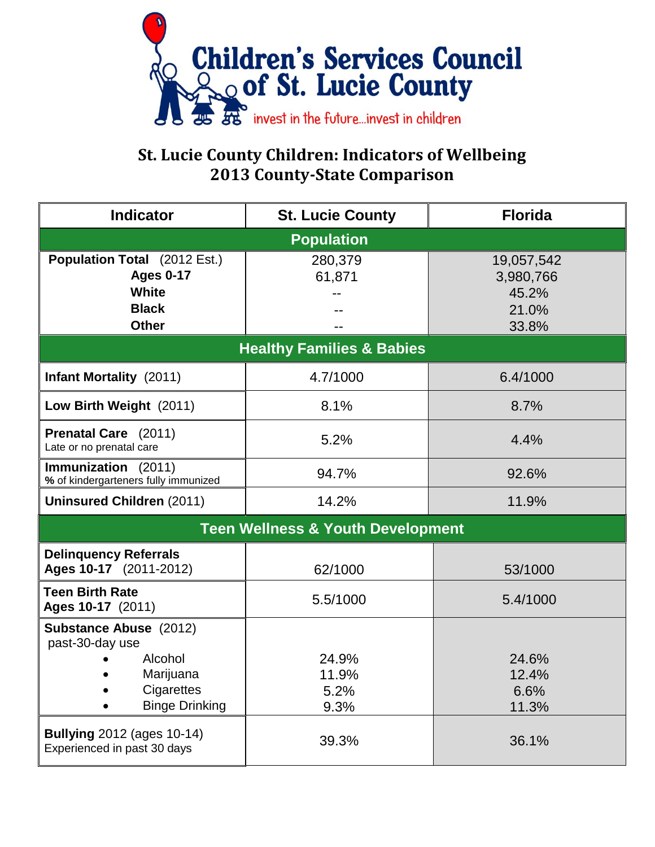

## **St. Lucie County Children: Indicators of Wellbeing 2013 County-State Comparison**

| <b>Indicator</b>                                                                                                                                                             | <b>St. Lucie County</b>                 | <b>Florida</b>                                     |  |  |  |
|------------------------------------------------------------------------------------------------------------------------------------------------------------------------------|-----------------------------------------|----------------------------------------------------|--|--|--|
| <b>Population</b>                                                                                                                                                            |                                         |                                                    |  |  |  |
| <b>Population Total</b> (2012 Est.)<br><b>Ages 0-17</b><br><b>White</b><br><b>Black</b><br><b>Other</b>                                                                      | 280,379<br>61,871                       | 19,057,542<br>3,980,766<br>45.2%<br>21.0%<br>33.8% |  |  |  |
| <b>Healthy Families &amp; Babies</b>                                                                                                                                         |                                         |                                                    |  |  |  |
| <b>Infant Mortality</b> (2011)                                                                                                                                               | 4.7/1000                                | 6.4/1000                                           |  |  |  |
| Low Birth Weight (2011)                                                                                                                                                      | 8.1%                                    | 8.7%                                               |  |  |  |
| Prenatal Care (2011)<br>Late or no prenatal care                                                                                                                             | 5.2%                                    | 4.4%                                               |  |  |  |
| Immunization (2011)<br>% of kindergarteners fully immunized                                                                                                                  | 94.7%                                   | 92.6%                                              |  |  |  |
| <b>Uninsured Children (2011)</b>                                                                                                                                             | 14.2%                                   | 11.9%                                              |  |  |  |
| <b>Teen Wellness &amp; Youth Development</b>                                                                                                                                 |                                         |                                                    |  |  |  |
| <b>Delinquency Referrals</b><br>Ages 10-17 (2011-2012)                                                                                                                       | 62/1000                                 | 53/1000                                            |  |  |  |
| <b>Teen Birth Rate</b><br>Ages 10-17 (2011)                                                                                                                                  | 5.5/1000                                | 5.4/1000                                           |  |  |  |
| Substance Abuse (2012)<br>past-30-day use<br>Alcohol<br>Marijuana<br>Cigarettes<br><b>Binge Drinking</b><br><b>Bullying 2012 (ages 10-14)</b><br>Experienced in past 30 days | 24.9%<br>11.9%<br>5.2%<br>9.3%<br>39.3% | 24.6%<br>12.4%<br>6.6%<br>11.3%<br>36.1%           |  |  |  |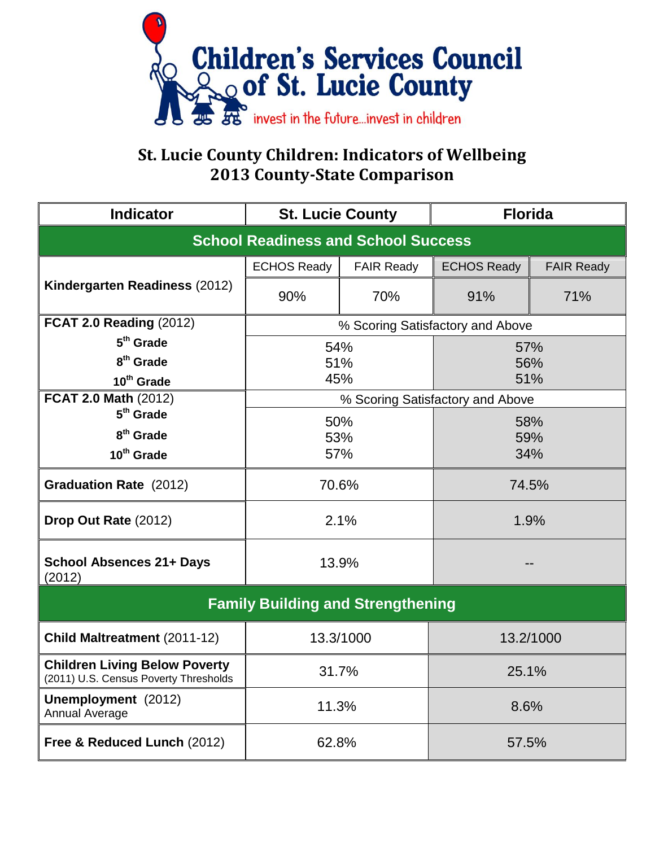

## **St. Lucie County Children: Indicators of Wellbeing 2013 County-State Comparison**

| <b>Indicator</b>                                                              | <b>St. Lucie County</b>          |                   | <b>Florida</b>     |                   |  |  |
|-------------------------------------------------------------------------------|----------------------------------|-------------------|--------------------|-------------------|--|--|
| <b>School Readiness and School Success</b>                                    |                                  |                   |                    |                   |  |  |
| Kindergarten Readiness (2012)                                                 | <b>ECHOS Ready</b>               | <b>FAIR Ready</b> | <b>ECHOS Ready</b> | <b>FAIR Ready</b> |  |  |
|                                                                               | 90%                              | 70%               | 91%                | 71%               |  |  |
| <b>FCAT 2.0 Reading (2012)</b>                                                | % Scoring Satisfactory and Above |                   |                    |                   |  |  |
| $5th$ Grade                                                                   | 54%                              |                   | 57%                |                   |  |  |
| 8 <sup>th</sup> Grade                                                         | 51%                              |                   | 56%                |                   |  |  |
| 10 <sup>th</sup> Grade                                                        | 45%                              |                   | 51%                |                   |  |  |
| <b>FCAT 2.0 Math (2012)</b>                                                   | % Scoring Satisfactory and Above |                   |                    |                   |  |  |
| $5th$ Grade                                                                   | 50%                              |                   | 58%                |                   |  |  |
| 8 <sup>th</sup> Grade                                                         | 53%                              |                   | 59%                |                   |  |  |
| 10 <sup>th</sup> Grade                                                        | 57%                              |                   | 34%                |                   |  |  |
| <b>Graduation Rate (2012)</b>                                                 | 70.6%                            |                   | 74.5%              |                   |  |  |
| Drop Out Rate (2012)                                                          | 2.1%                             |                   | 1.9%               |                   |  |  |
| <b>School Absences 21+ Days</b><br>(2012)                                     | 13.9%                            |                   |                    |                   |  |  |
| <b>Family Building and Strengthening</b>                                      |                                  |                   |                    |                   |  |  |
| Child Maltreatment (2011-12)                                                  | 13.3/1000                        |                   | 13.2/1000          |                   |  |  |
| <b>Children Living Below Poverty</b><br>(2011) U.S. Census Poverty Thresholds | 31.7%<br>25.1%                   |                   |                    |                   |  |  |
| Unemployment (2012)<br>Annual Average                                         | 11.3%                            |                   | 8.6%               |                   |  |  |
| Free & Reduced Lunch (2012)                                                   | 62.8%<br>57.5%                   |                   |                    |                   |  |  |